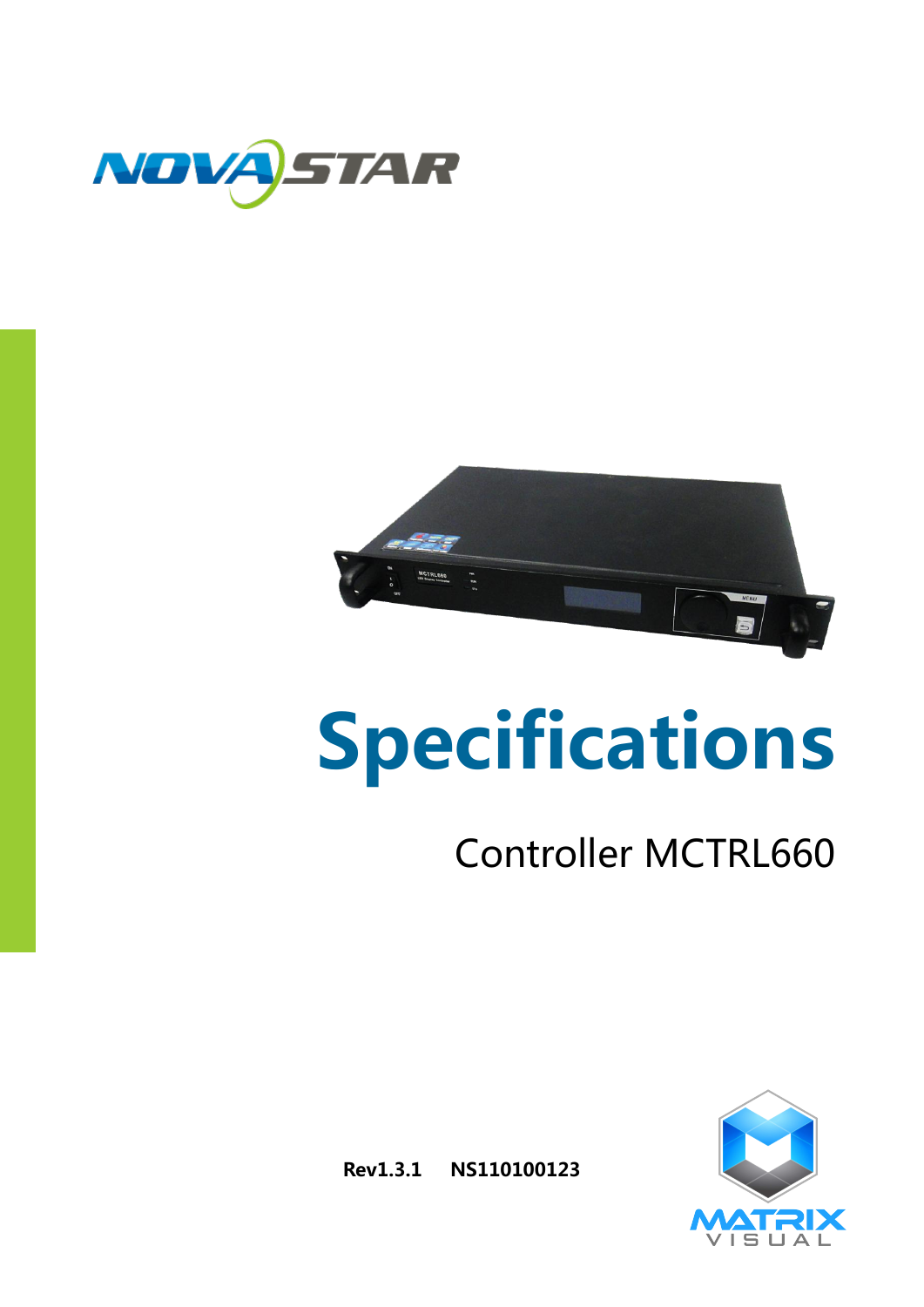



# Specifications

## Controller MCTRL660



Rev1.3.1 NS110100123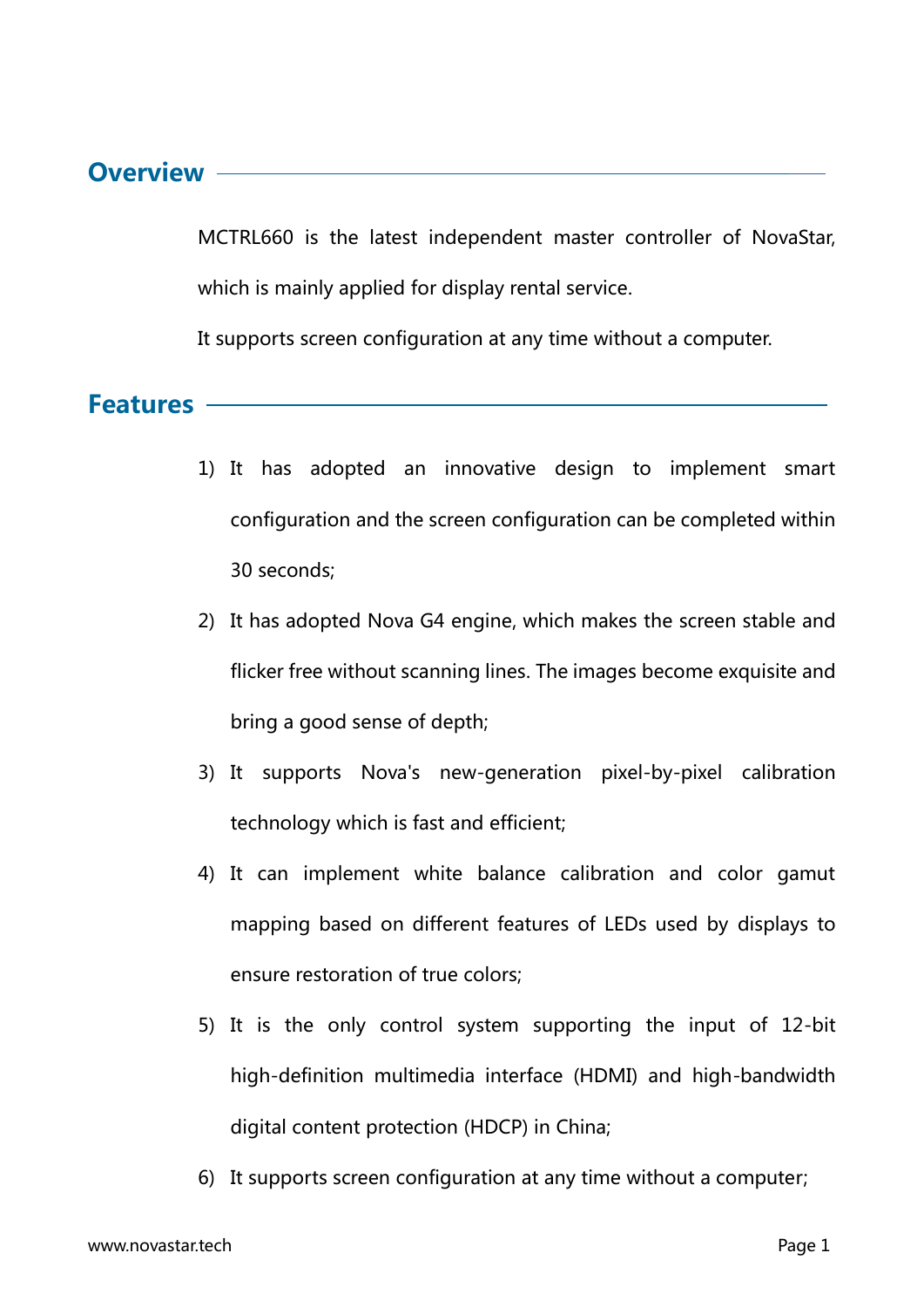#### Overview -

MCTRL660 is the latest independent master controller of NovaStar, which is mainly applied for display rental service.

It supports screen configuration at any time without a computer.

Features

- 1) It has adopted an innovative design to implement smart configuration and the screen configuration can be completed within 30 seconds;
- 2) It has adopted Nova G4 engine, which makes the screen stable and flicker free without scanning lines. The images become exquisite and bring a good sense of depth;
- 3) It supports Nova's new-generation pixel-by-pixel calibration technology which is fast and efficient;
- 4) It can implement white balance calibration and color gamut mapping based on different features of LEDs used by displays to ensure restoration of true colors;
- 5) It is the only control system supporting the input of 12-bit high-definition multimedia interface (HDMI) and high-bandwidth digital content protection (HDCP) in China;
- 6) It supports screen configuration at any time without a computer;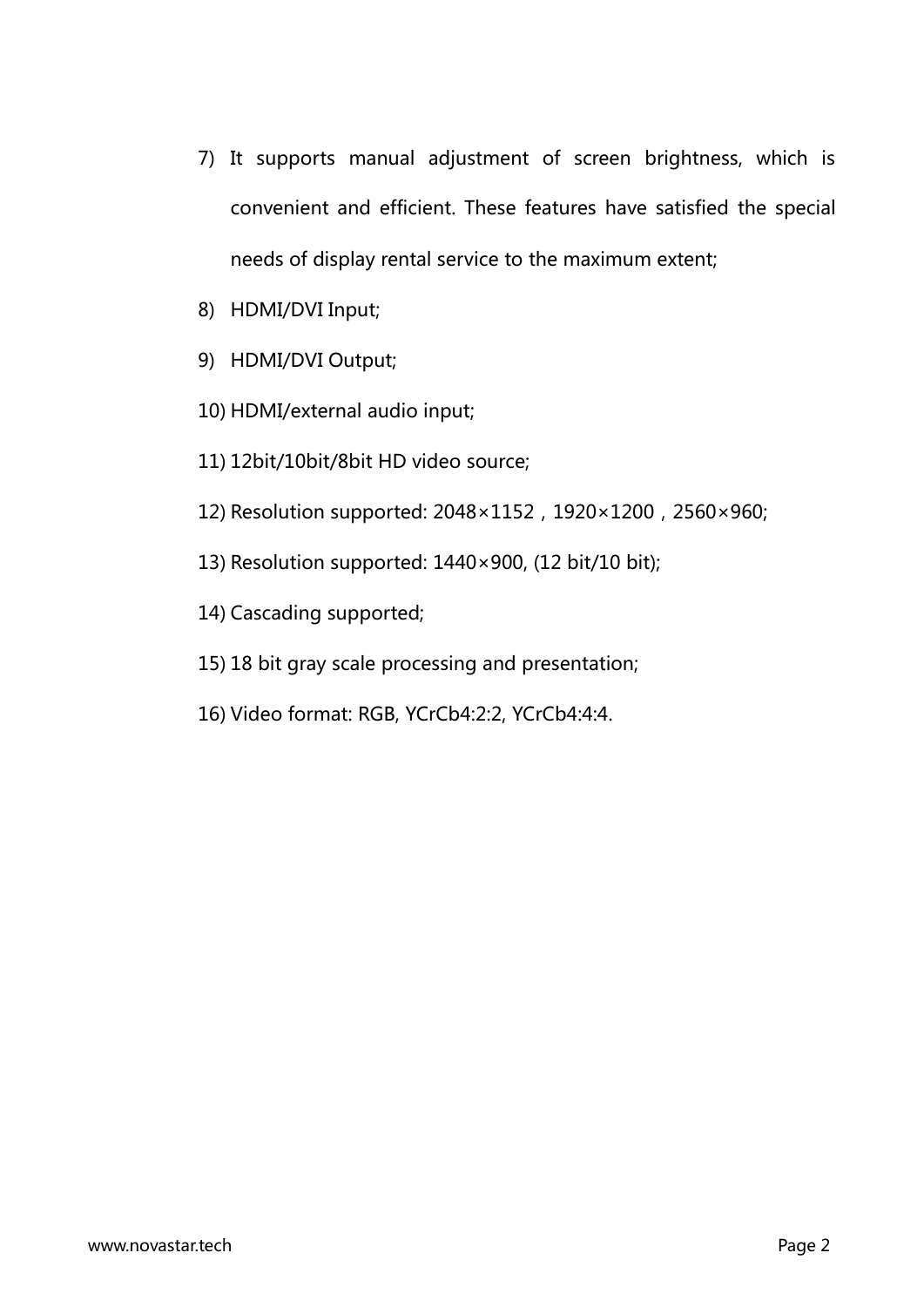- 7) It supports manual adjustment of screen brightness, which is convenient and efficient. These features have satisfied the special needs of display rental service to the maximum extent;
- 8) HDMI/DVI Input;
- 9) HDMI/DVI Output;
- 10) HDMI/external audio input;
- 11) 12bit/10bit/8bit HD video source;
- 12) Resolution supported: 2048×1152,1920×1200,2560×960;
- 13) Resolution supported: 1440×900, (12 bit/10 bit);
- 14) Cascading supported;
- 15) 18 bit gray scale processing and presentation;
- 16) Video format: RGB, YCrCb4:2:2, YCrCb4:4:4.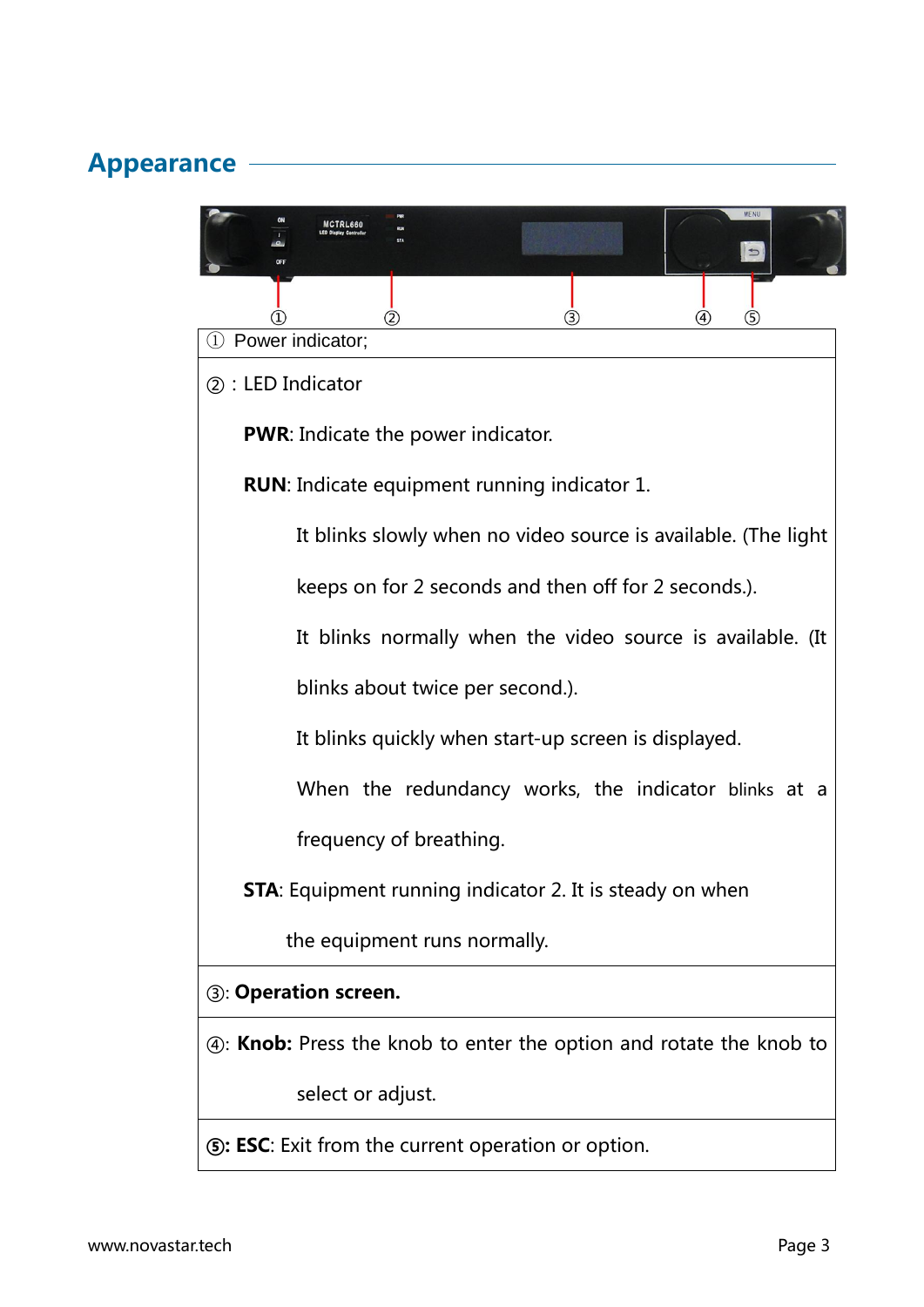#### Appearance

| (3)<br>(2)<br>(5)                                                         |  |  |  |
|---------------------------------------------------------------------------|--|--|--|
| 1 Power indicator;                                                        |  |  |  |
| 2: LED Indicator                                                          |  |  |  |
| <b>PWR:</b> Indicate the power indicator.                                 |  |  |  |
| <b>RUN:</b> Indicate equipment running indicator 1.                       |  |  |  |
| It blinks slowly when no video source is available. (The light            |  |  |  |
| keeps on for 2 seconds and then off for 2 seconds.).                      |  |  |  |
| It blinks normally when the video source is available. (It                |  |  |  |
| blinks about twice per second.).                                          |  |  |  |
| It blinks quickly when start-up screen is displayed.                      |  |  |  |
| When the redundancy works, the indicator blinks at a                      |  |  |  |
| frequency of breathing.                                                   |  |  |  |
| <b>STA</b> : Equipment running indicator 2. It is steady on when          |  |  |  |
| the equipment runs normally.                                              |  |  |  |
| <b>3: Operation screen.</b>                                               |  |  |  |
| 4: <b>Knob:</b> Press the knob to enter the option and rotate the knob to |  |  |  |
| select or adjust.                                                         |  |  |  |
| <b>(5): ESC:</b> Exit from the current operation or option.               |  |  |  |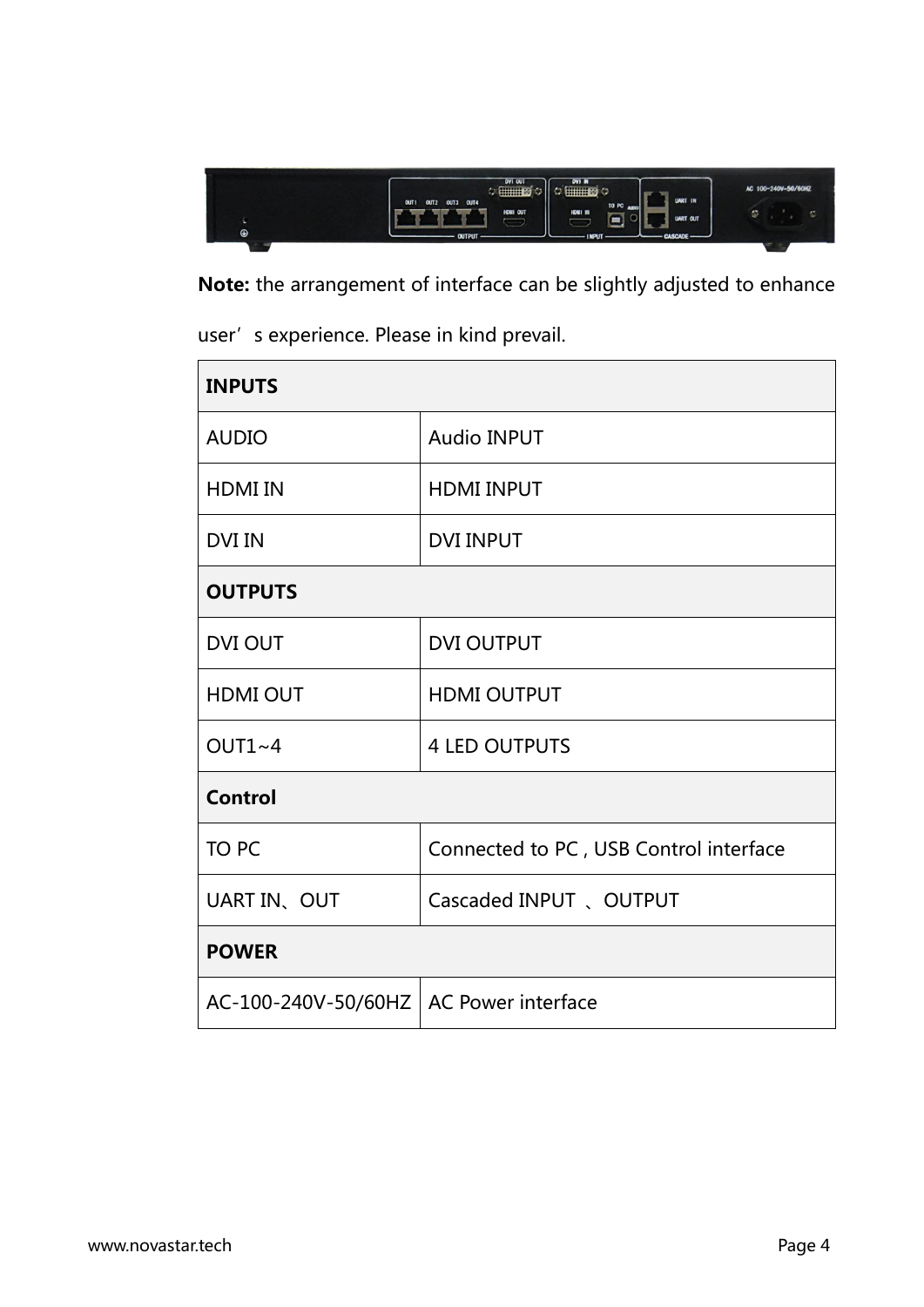

Note: the arrangement of interface can be slightly adjusted to enhance

user's experience. Please in kind prevail.

| <b>INPUTS</b>                            |                                        |  |  |  |
|------------------------------------------|----------------------------------------|--|--|--|
| <b>AUDIO</b>                             | <b>Audio INPUT</b>                     |  |  |  |
| <b>HDMI IN</b>                           | <b>HDMI INPUT</b>                      |  |  |  |
| <b>DVI IN</b>                            | <b>DVI INPUT</b>                       |  |  |  |
| <b>OUTPUTS</b>                           |                                        |  |  |  |
| <b>DVI OUT</b>                           | <b>DVI OUTPUT</b>                      |  |  |  |
| <b>HDMI OUT</b>                          | <b>HDMI OUTPUT</b>                     |  |  |  |
| $OUT1~-4$                                | <b>4 LED OUTPUTS</b>                   |  |  |  |
| <b>Control</b>                           |                                        |  |  |  |
| <b>TO PC</b>                             | Connected to PC, USB Control interface |  |  |  |
| UART IN、OUT                              | Cascaded INPUT 、OUTPUT                 |  |  |  |
| <b>POWER</b>                             |                                        |  |  |  |
| AC-100-240V-50/60HZ   AC Power interface |                                        |  |  |  |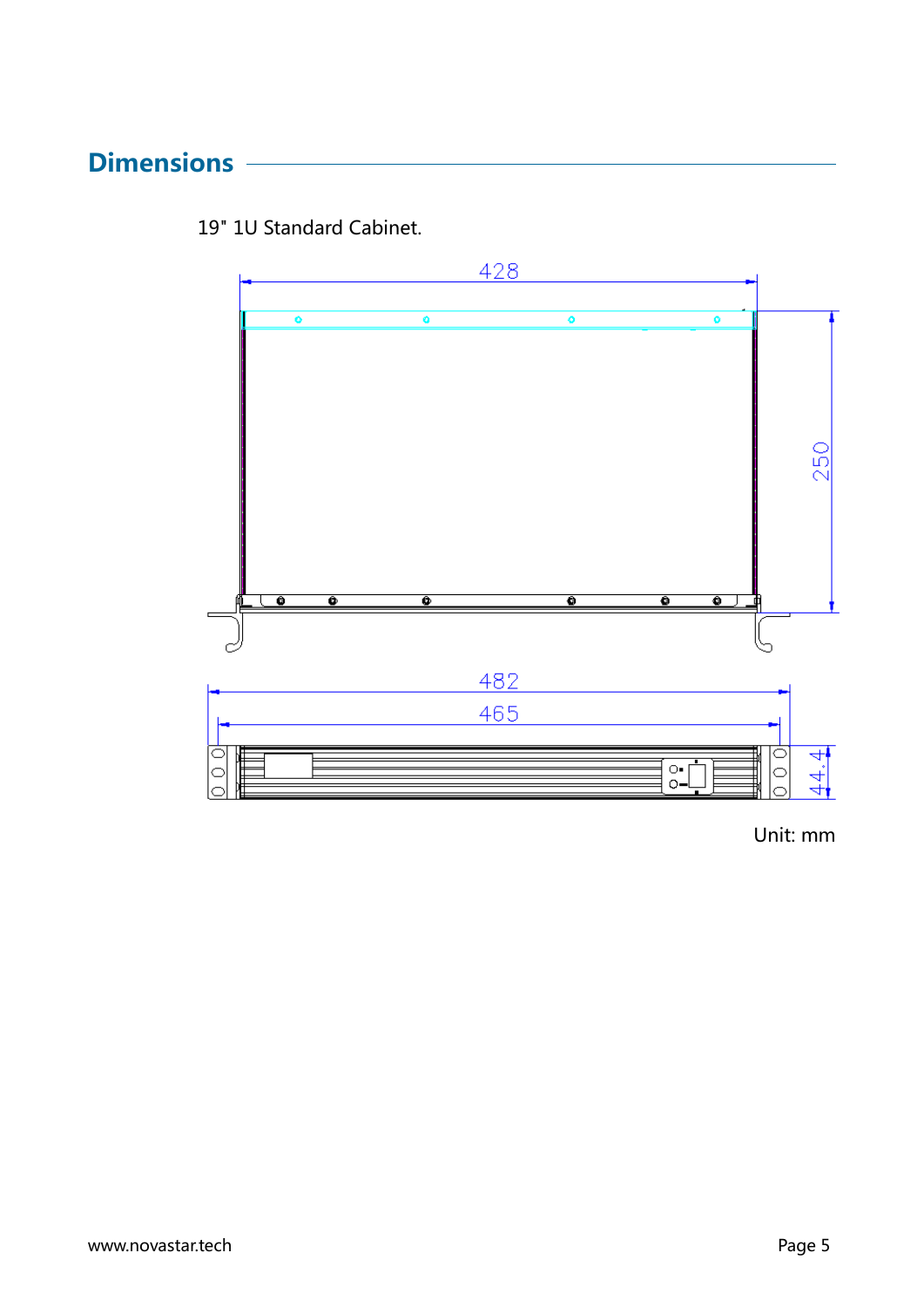#### **Dimensions**



19" 1U Standard Cabinet.

Unit: mm